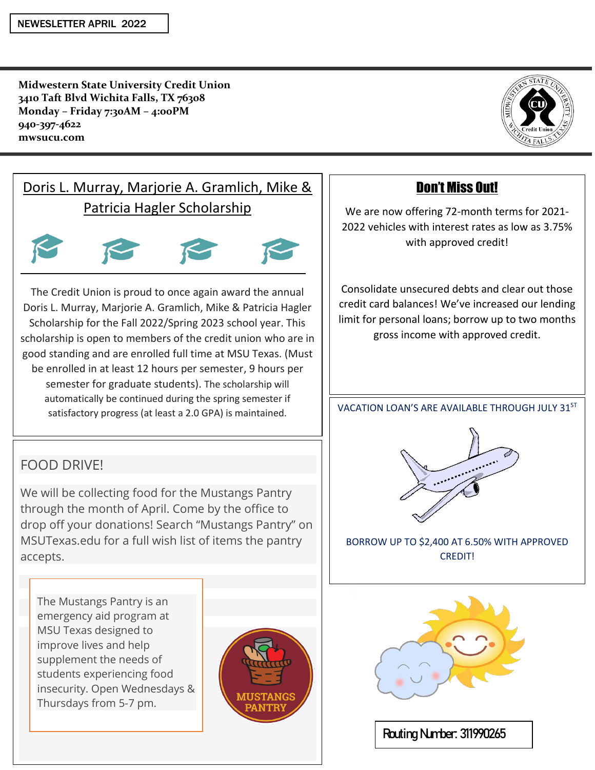**Midwestern State University Credit Union 3410 Taft Blvd Wichita Falls, TX 76308 Monday – Friday 7:30AM – 4:00PM 940-397-4622 mwsucu.com** 



# Doris L. Murray, Marjorie A. Gramlich, Mike & Patricia Hagler Scholarship



The Credit Union is proud to once again award the annual Doris L. Murray, Marjorie A. Gramlich, Mike & Patricia Hagler Scholarship for the Fall 2022/Spring 2023 school year. This scholarship is open to members of the credit union who are in good standing and are enrolled full time at MSU Texas. (Must be enrolled in at least 12 hours per semester, 9 hours per semester for graduate students). The scholarship will automatically be continued during the spring semester if satisfactory progress (at least a 2.0 GPA) is maintained.

### FOOD DRIVE!

ship will automatically be continued during the spring the spring the spring the spring the spring the spring the spring the spring term of the spring term of the spring term of the spring term of the spring term of the s semester if satisfactory progress (at least a 2.0 GPA) is We will be collecting food for the Mustangs Pantry through the month of April. Come by the office to drop off your donations! Search "Mustangs Pantry" on MSUTexas.edu for a full wish list of items the pantry accepts.

maintained. Give us a call for more information  $\mathcal{C}$ 

The Mustangs Pantry is an emergency aid program at MSU Texas designed to improve lives and help supplement the needs of students experiencing food insecurity. Open Wednesdays & Thursdays from 5-7 pm.



### Don't Miss Out!

We are now offering 72-month terms for 2021- 2022 vehicles with interest rates as low as 3.75% with approved credit!

Consolidate unsecured debts and clear out those credit card balances! We've increased our lending limit for personal loans; borrow up to two months gross income with approved credit.

VACATION LOAN'S ARE AVAILABLE THROUGH JULY  $31^{ST}$ 



BORROW UP TO \$2,400 AT 6.50% WITH APPROVED CREDIT!



**Routing Number: 311990265**